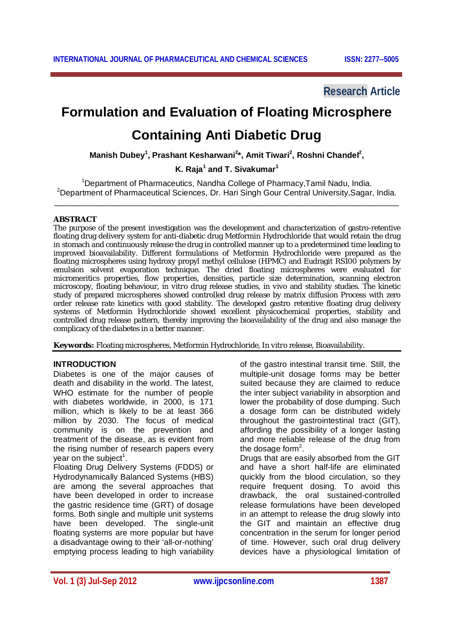**Research Article**

# **Formulation and Evaluation of Floating Microsphere**

# **Containing Anti Diabetic Drug**

**Manish Dubey<sup>1</sup> , Prashant Kesharwani<sup>2</sup> \*, Amit Tiwari<sup>2</sup> , Roshni Chandel<sup>2</sup> ,**

# **K. Raja<sup>1</sup> and T. Sivakumar<sup>1</sup>**

<sup>1</sup>Department of Pharmaceutics, Nandha College of Pharmacy, Tamil Nadu, India. <sup>2</sup>Department of Pharmaceutical Sciences, Dr. Hari Singh Gour Central University, Sagar, India. \_\_\_\_\_\_\_\_\_\_\_\_\_\_\_\_\_\_\_\_\_\_\_\_\_\_\_\_\_\_\_\_\_\_\_\_\_\_\_\_\_\_\_\_\_\_\_\_\_\_\_\_\_\_\_\_\_\_\_\_\_\_\_\_\_\_\_\_\_\_\_\_\_\_\_\_

## **ABSTRACT**

The purpose of the present investigation was the development and characterization of gastro-retentive floating drug delivery system for anti-diabetic drug Metformin Hydrochloride that would retain the drug in stomach and continuously release the drug in controlled manner up to a predetermined time leading to improved bioavailability. Different formulations of Metformin Hydrochloride were prepared as the floating microspheres using hydroxy propyl methyl cellulose (HPMC) and Eudragit RS100 polymers by emulsion solvent evaporation technique. The dried floating microspheres were evaluated for micromeritics properties, flow properties, densities, particle size determination, scanning electron microscopy, floating behaviour, *in vitro* drug release studies, *in vivo* and stability studies. The kinetic study of prepared microspheres showed controlled drug release by matrix diffusion Process with zero order release rate kinetics with good stability. The developed gastro retentive floating drug delivery systems of Metformin Hydrochloride showed excellent physicochemical properties, stability and controlled drug release pattern, thereby improving the bioavailability of the drug and also manage the complicacy of the diabetes in a better manner.

**Keywords:** Floating microspheres, Metformin Hydrochloride, *In vitro* release, Bioavailability.

# **INTRODUCTION**

Diabetes is one of the major causes of death and disability in the world. The latest, WHO estimate for the number of people with diabetes worldwide, in 2000, is 171 million, which is likely to be at least 366 million by 2030. The focus of medical community is on the prevention and treatment of the disease, as is evident from the rising number of research papers every year on the subject<sup>1</sup>.

Floating Drug Delivery Systems (FDDS) or Hydrodynamically Balanced Systems (HBS) are among the several approaches that have been developed in order to increase the gastric residence time (GRT) of dosage forms. Both single and multiple unit systems have been developed. The single-unit floating systems are more popular but have a disadvantage owing to their 'all-or-nothing' emptying process leading to high variability of the gastro intestinal transit time. Still, the multiple-unit dosage forms may be better suited because they are claimed to reduce the inter subject variability in absorption and lower the probability of dose dumping. Such a dosage form can be distributed widely throughout the gastrointestinal tract (GIT), affording the possibility of a longer lasting and more reliable release of the drug from the dosage form<sup>2</sup>.

Drugs that are easily absorbed from the GIT and have a short half-life are eliminated quickly from the blood circulation, so they require frequent dosing. To avoid this drawback, the oral sustained-controlled release formulations have been developed in an attempt to release the drug slowly into the GIT and maintain an effective drug concentration in the serum for longer period of time. However, such oral drug delivery devices have a physiological limitation of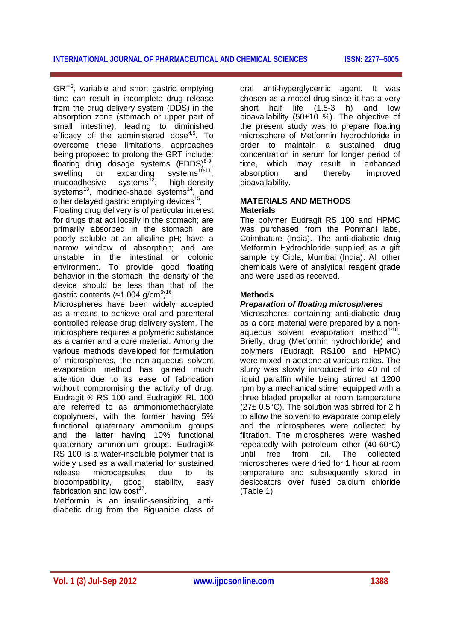$GRT<sup>3</sup>$ , variable and short gastric emptying time can result in incomplete drug release from the drug delivery system (DDS) in the absorption zone (stomach or upper part of small intestine), leading to diminished efficacy of the administered dose $4.5$ . To overcome these limitations, approaches being proposed to prolong the GRT include: floating drug dosage systems  $(FDDS)^{6-9}$ , swelling or expanding systems<sup>10-11</sup>, mucoadhesive systems<sup>12</sup>, high-density systems<sup>13</sup>, modified-shape systems<sup>14</sup>, and other delayed gastric emptying devices<sup>15</sup>

Floating drug delivery is of particular interest for drugs that act locally in the stomach; are primarily absorbed in the stomach; are poorly soluble at an alkaline pH; have a narrow window of absorption; and are unstable in the intestinal or colonic environment. To provide good floating behavior in the stomach, the density of the device should be less than that of the gastric contents (≈1.004 g/cm<sup>3</sup>)<sup>16</sup>.

Microspheres have been widely accepted as a means to achieve oral and parenteral controlled release drug delivery system. The microsphere requires a polymeric substance as a carrier and a core material. Among the various methods developed for formulation of microspheres, the non-aqueous solvent evaporation method has gained much attention due to its ease of fabrication without compromising the activity of drug. Eudragit ® RS 100 and Eudragit® RL 100 are referred to as ammoniomethacrylate copolymers, with the former having 5% functional quaternary ammonium groups and the latter having 10% functional quaternary ammonium groups. Eudragit® RS 100 is a water-insoluble polymer that is widely used as a wall material for sustained release microcapsules due to its biocompatibility, good stability, easy fabrication and low  $cost^{17}$ .

Metformin is an insulin-sensitizing, antidiabetic drug from the Biguanide class of oral anti-hyperglycemic agent. It was chosen as a model drug since it has a very short half life (1.5-3 h) and low bioavailability (50±10 %). The objective of the present study was to prepare floating microsphere of Metformin hydrochloride in order to maintain a sustained drug concentration in serum for longer period of time, which may result in enhanced absorption and thereby improved bioavailability.

## **MATERIALS AND METHODS Materials**

The polymer Eudragit RS 100 and HPMC was purchased from the Ponmani labs, Coimbature (India). The anti-diabetic drug Metformin Hydrochloride supplied as a gift sample by Cipla, Mumbai (India). All other chemicals were of analytical reagent grade and were used as received.

# **Methods**

## *Preparation of floating microspheres*

Microspheres containing anti-diabetic drug as a core material were prepared by a nonaqueous solvent evaporation method<sup>1-18</sup> Briefly, drug (Metformin hydrochloride) and polymers (Eudragit RS100 and HPMC) were mixed in acetone at various ratios. The slurry was slowly introduced into 40 ml of liquid paraffin while being stirred at 1200 rpm by a mechanical stirrer equipped with a three bladed propeller at room temperature (27± 0.5°C). The solution was stirred for 2 h to allow the solvent to evaporate completely and the microspheres were collected by filtration. The microspheres were washed repeatedly with petroleum ether (40-60°C) until free from oil. The collected microspheres were dried for 1 hour at room temperature and subsequently stored in desiccators over fused calcium chloride (Table 1).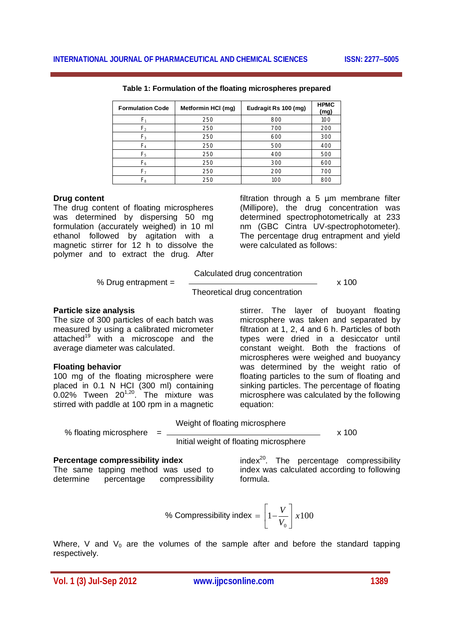| <b>Formulation Code</b> | Metformin HCI (mg) | Eudragit Rs 100 (mg) | <b>HPMC</b><br>(mg) |
|-------------------------|--------------------|----------------------|---------------------|
| F,                      | 250                | 800                  | 100                 |
| F,                      | 250                | 700                  | 200                 |
| $F_3$                   | 250                | 600                  | 300                 |
| F <sub>4</sub>          | 250                | 500                  | 400                 |
| F <sub>5</sub>          | 250                | 400                  | 500                 |
| $F_6$                   | 250                | 300                  | 600                 |
| F,                      | 250                | 200                  | 700                 |
| Fg                      | 250                | 100                  | 800                 |

**Table 1: Formulation of the floating microspheres prepared**

#### **Drug content**

The drug content of floating microspheres was determined by dispersing 50 mg formulation (accurately weighed) in 10 ml ethanol followed by agitation with a magnetic stirrer for 12 h to dissolve the polymer and to extract the drug. After

filtration through a 5 µm membrane filter (Millipore), the drug concentration was determined spectrophotometrically at 233 nm (GBC Cintra UV-spectrophotometer). The percentage drug entrapment and yield were calculated as follows:

Calculated drug concentration

% Drug entrapment =  $\frac{1}{2}$  x 100

Theoretical drug concentration

### **Particle size analysis**

The size of 300 particles of each batch was measured by using a calibrated micrometer attached<sup>19</sup> with a microscope and the average diameter was calculated.

### **Floating behavior**

100 mg of the floating microsphere were placed in 0.1 N HCI (300 ml) containing 0.02% Tween  $20^{1,20}$ . The mixture was stirred with paddle at 100 rpm in a magnetic

stirrer. The layer of buoyant floating microsphere was taken and separated by filtration at 1, 2, 4 and 6 h. Particles of both types were dried in a desiccator until constant weight. Both the fractions of microspheres were weighed and buoyancy was determined by the weight ratio of floating particles to the sum of floating and sinking particles. The percentage of floating microsphere was calculated by the following equation:

Weight of floating microsphere

% floating microsphere = x 100

Initial weight of floating microsphere

#### **Percentage compressibility index**

The same tapping method was used to determine percentage compressibility

 $index^{20}$ . The percentage compressibility index was calculated according to following formula.

% Compressibility index = 
$$
\left[1 - \frac{V}{V_0}\right] x 100
$$

Where, V and  $V_0$  are the volumes of the sample after and before the standard tapping respectively.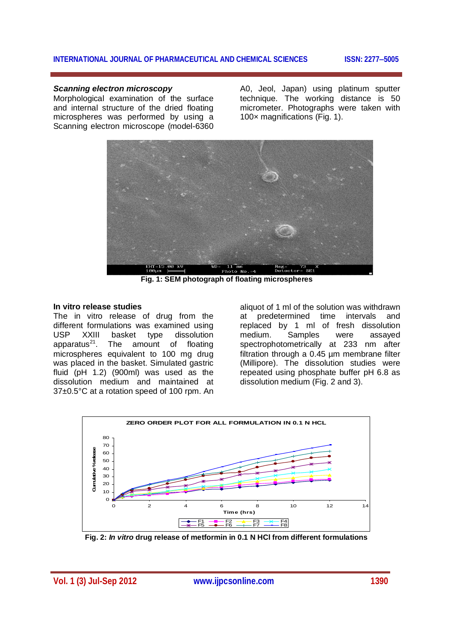## **INTERNATIONAL JOURNAL OF PHARMACEUTICAL AND CHEMICAL SCIENCES ISSN: 22775005**

## *Scanning electron microscopy*

Morphological examination of the surface and internal structure of the dried floating microspheres was performed by using a Scanning electron microscope (model-6360 A0, Jeol, Japan) using platinum sputter technique. The working distance is 50 micrometer. Photographs were taken with 100× magnifications (Fig. 1).



**Fig. 1: SEM photograph of floating microspheres**

#### **In vitro release studies**

The in vitro release of drug from the different formulations was examined using USP XXIII basket type dissolution apparatus $^{21}$ . The amount of floating microspheres equivalent to 100 mg drug was placed in the basket. Simulated gastric fluid (pH 1.2) (900ml) was used as the dissolution medium and maintained at 37±0.5°C at a rotation speed of 100 rpm. An

aliquot of 1 ml of the solution was withdrawn at predetermined time intervals and replaced by 1 ml of fresh dissolution medium. Samples were assayed spectrophotometrically at 233 nm after filtration through a 0.45 µm membrane filter (Millipore). The dissolution studies were repeated using phosphate buffer pH 6.8 as dissolution medium (Fig. 2 and 3).



**Fig. 2:** *In vitro* **drug release of metformin in 0.1 N HCl from different formulations**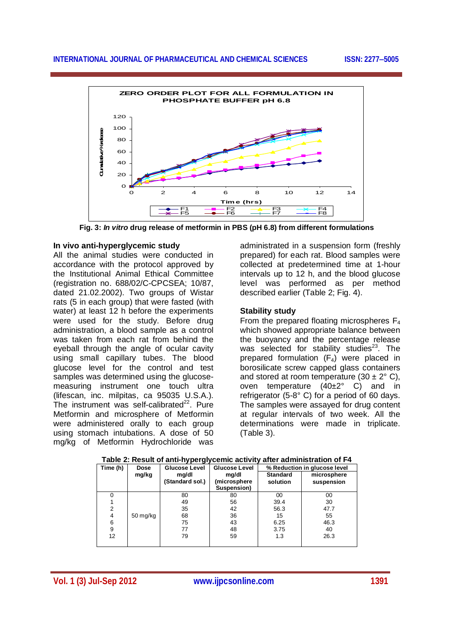

**Fig. 3:** *In vitro* **drug release of metformin in PBS (pH 6.8) from different formulations**

## **In vivo anti-hyperglycemic study**

All the animal studies were conducted in accordance with the protocol approved by the Institutional Animal Ethical Committee (registration no. 688/02/C-CPCSEA; 10/87, dated 21.02.2002). Two groups of Wistar rats (5 in each group) that were fasted (with water) at least 12 h before the experiments were used for the study. Before drug administration, a blood sample as a control was taken from each rat from behind the eyeball through the angle of ocular cavity using small capillary tubes. The blood glucose level for the control and test samples was determined using the glucosemeasuring instrument one touch ultra (lifescan, inc. milpitas, ca 95035 U.S.A.). The instrument was self-calibrated $^{22}$ . Pure Metformin and microsphere of Metformin were administered orally to each group using stomach intubations. A dose of 50 mg/kg of Metformin Hydrochloride was

administrated in a suspension form (freshly prepared) for each rat. Blood samples were collected at predetermined time at 1-hour intervals up to 12 h, and the blood glucose level was performed as per method described earlier (Table 2; Fig. 4).

# **Stability study**

From the prepared floating microspheres  $F_4$ which showed appropriate balance between the buoyancy and the percentage release was selected for stability studies<sup>23</sup>. The prepared formulation  $(F_4)$  were placed in borosilicate screw capped glass containers and stored at room temperature  $(30 \pm 2^{\circ} \text{ C})$ , oven temperature (40±2° C) and in refrigerator (5-8° C) for a period of 60 days. The samples were assayed for drug content at regular intervals of two week. All the determinations were made in triplicate. (Table 3).

| Time (h) | <b>Dose</b>           | <b>Glucose Level</b> | <b>Glucose Level</b> |                 | % Reduction in glucose level |
|----------|-----------------------|----------------------|----------------------|-----------------|------------------------------|
|          | mg/kg                 | mg/dl                | mg/dl                | <b>Standard</b> | microsphere                  |
|          |                       | (Standard sol.)      | (microsphere         | solution        | suspension                   |
|          |                       |                      | Suspension)          |                 |                              |
|          |                       | 80                   | 80                   | 00              | 00                           |
|          |                       | 49                   | 56                   | 39.4            | 30                           |
| 2        |                       | 35                   | 42                   | 56.3            | 47.7                         |
| 4        | $50 \,\mathrm{mg/kg}$ | 68                   | 36                   | 15              | 55                           |
| 6        |                       | 75                   | 43                   | 6.25            | 46.3                         |
| 9        |                       | 77                   | 48                   | 3.75            | 40                           |
| 12       |                       | 79                   | 59                   | 1.3             | 26.3                         |
|          |                       |                      |                      |                 |                              |

### **Table 2: Result of anti-hyperglycemic activity after administration of F4**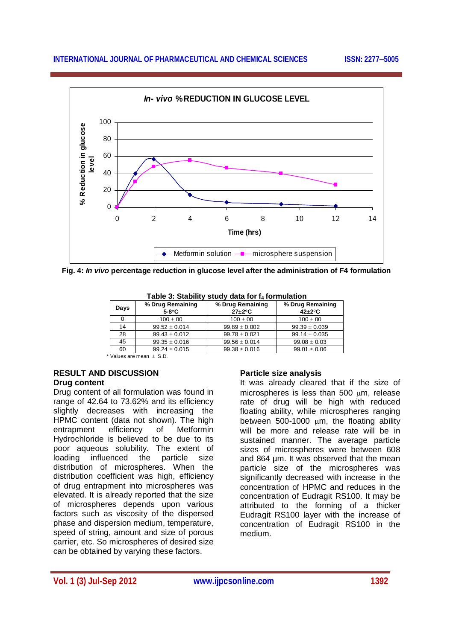

**Fig. 4:** *In vivo* **percentage reduction in glucose level after the administration of F4 formulation**

| $100 \pm 00$      | $100 \pm 00$                                                        |                   |
|-------------------|---------------------------------------------------------------------|-------------------|
|                   |                                                                     | $100 \pm 00$      |
| $99.52 \pm 0.014$ | $99.89 \pm 0.002$                                                   | $99.39 \pm 0.039$ |
| $99.43 \pm 0.012$ | $99.78 \pm 0.021$                                                   | $99.14 \pm 0.035$ |
| $99.35 \pm 0.016$ | $99.56 \pm 0.014$                                                   | $99.08 \pm 0.03$  |
| $99.24 \pm 0.015$ | $99.38 \pm 0.016$                                                   | $99.01 \pm 0.06$  |
|                   | $*U_{\alpha}$ and $*U_{\alpha}$ and $*U_{\alpha}$ and $*U_{\alpha}$ |                   |

|  | Table 3: Stability study data for f <sub>4</sub> formulation |
|--|--------------------------------------------------------------|
|--|--------------------------------------------------------------|

Values are mean  $\pm$  S.D.

### **RESULT AND DISCUSSION Drug content**

Drug content of all formulation was found in range of 42.64 to 73.62% and its efficiency slightly decreases with increasing the HPMC content (data not shown). The high<br>entrapment efficiency of Metformin entrapment efficiency of Metformin Hydrochloride is believed to be due to its poor aqueous solubility. The extent of loading influenced the particle size distribution of microspheres. When the distribution coefficient was high, efficiency of drug entrapment into microspheres was elevated. It is already reported that the size of microspheres depends upon various factors such as viscosity of the dispersed phase and dispersion medium, temperature, speed of string, amount and size of porous carrier, etc. So microspheres of desired size can be obtained by varying these factors.

# **Particle size analysis**

It was already cleared that if the size of microspheres is less than  $500 \, \mu m$ , release rate of drug will be high with reduced floating ability, while microspheres ranging between  $500-1000$   $\mu$ m, the floating ability will be more and release rate will be in sustained manner. The average particle sizes of microspheres were between 608 and 864 µm. It was observed that the mean particle size of the microspheres was significantly decreased with increase in the concentration of HPMC and reduces in the concentration of Eudragit RS100. It may be attributed to the forming of a thicker Eudragit RS100 layer with the increase of concentration of Eudragit RS100 in the medium.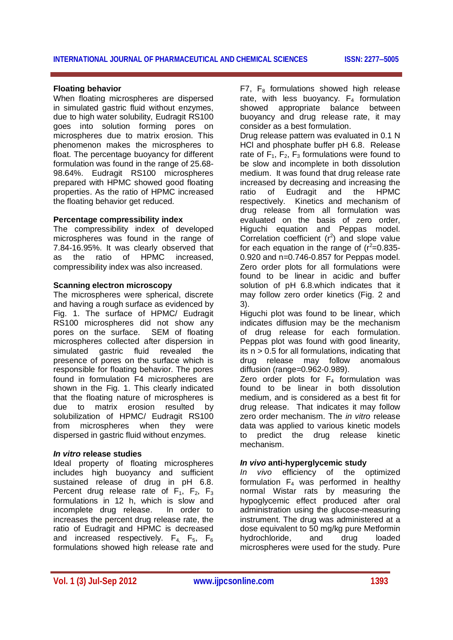#### **Floating behavior**

When floating microspheres are dispersed in simulated gastric fluid without enzymes, due to high water solubility, Eudragit RS100 goes into solution forming pores on microspheres due to matrix erosion. This phenomenon makes the microspheres to float. The percentage buoyancy for different formulation was found in the range of 25.68- 98.64%. Eudragit RS100 microspheres prepared with HPMC showed good floating properties. As the ratio of HPMC increased the floating behavior get reduced.

#### **Percentage compressibility index**

The compressibility index of developed microspheres was found in the range of 7.84-16.95%. It was clearly observed that as the ratio of HPMC increased, compressibility index was also increased.

#### **Scanning electron microscopy**

The microspheres were spherical, discrete and having a rough surface as evidenced by Fig. 1. The surface of HPMC/ Eudragit RS100 microspheres did not show any pores on the surface. SEM of floating microspheres collected after dispersion in simulated gastric fluid revealed the presence of pores on the surface which is responsible for floating behavior. The pores found in formulation F4 microspheres are shown in the Fig. 1. This clearly indicated that the floating nature of microspheres is due to matrix erosion resulted by solubilization of HPMC/ Eudragit RS100 from microspheres when they were dispersed in gastric fluid without enzymes.

### *In vitro* **release studies**

Ideal property of floating microspheres includes high buoyancy and sufficient sustained release of drug in pH 6.8. Percent drug release rate of  $F_1$ ,  $F_2$ ,  $F_3$ formulations in 12 h, which is slow and incomplete drug release. In order to increases the percent drug release rate, the ratio of Eudragit and HPMC is decreased and increased respectively.  $F_4$ ,  $F_5$ ,  $F_6$ formulations showed high release rate and

 $F7. F<sub>8</sub>$  formulations showed high release rate, with less buovancy.  $F_4$  formulation showed appropriate balance between buoyancy and drug release rate, it may consider as a best formulation.

Drug release pattern was evaluated in 0.1 N HCl and phosphate buffer pH 6.8. Release rate of  $F_1$ ,  $F_2$ ,  $F_3$  formulations were found to be slow and incomplete in both dissolution medium. It was found that drug release rate increased by decreasing and increasing the ratio of Eudragit and the HPMC respectively. Kinetics and mechanism of drug release from all formulation was evaluated on the basis of zero order, Higuchi equation and Peppas model. Correlation coefficient  $(r^2)$  and slope value for each equation in the range of ( $r^2$ =0.835-0.920 and n=0.746-0.857 for Peppas model. Zero order plots for all formulations were found to be linear in acidic and buffer solution of pH 6.8.which indicates that it may follow zero order kinetics (Fig. 2 and 3).

Higuchi plot was found to be linear, which indicates diffusion may be the mechanism of drug release for each formulation. Peppas plot was found with good linearity, its  $n > 0.5$  for all formulations, indicating that drug release may follow anomalous diffusion (range=0.962-0.989).

Zero order plots for  $F_4$  formulation was found to be linear in both dissolution medium, and is considered as a best fit for drug release. That indicates it may follow zero order mechanism. The *in vitro* release data was applied to various kinetic models to predict the drug release kinetic mechanism.

### *In vivo* **anti-hyperglycemic study**

*In vivo* efficiency of the optimized formulation  $F_4$  was performed in healthy normal Wistar rats by measuring the hypoglycemic effect produced after oral administration using the glucose-measuring instrument. The drug was administered at a dose equivalent to 50 mg/kg pure Metformin hydrochloride, and drug loaded microspheres were used for the study. Pure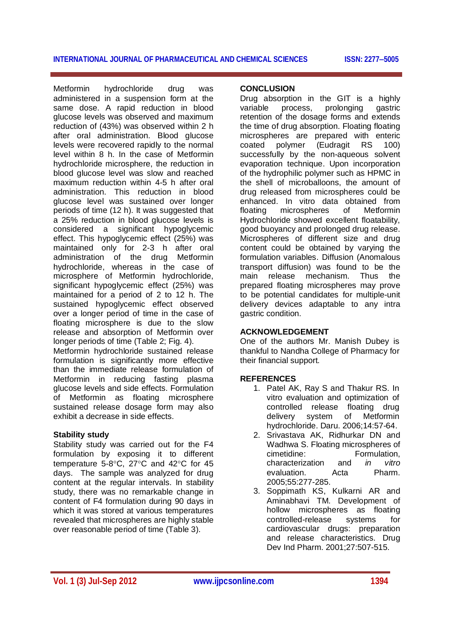Metformin hydrochloride drug was administered in a suspension form at the same dose. A rapid reduction in blood glucose levels was observed and maximum reduction of (43%) was observed within 2 h after oral administration. Blood glucose levels were recovered rapidly to the normal level within 8 h. In the case of Metformin hydrochloride microsphere, the reduction in blood glucose level was slow and reached maximum reduction within 4-5 h after oral administration. This reduction in blood glucose level was sustained over longer periods of time (12 h). It was suggested that a 25% reduction in blood glucose levels is considered a significant hypoglycemic effect. This hypoglycemic effect (25%) was maintained only for 2-3 h after oral administration of the drug Metformin hydrochloride, whereas in the case of microsphere of Metformin hydrochloride, significant hypoglycemic effect (25%) was maintained for a period of 2 to 12 h. The sustained hypoglycemic effect observed over a longer period of time in the case of floating microsphere is due to the slow release and absorption of Metformin over longer periods of time (Table 2; Fig. 4).

Metformin hydrochloride sustained release formulation is significantly more effective than the immediate release formulation of Metformin in reducing fasting plasma glucose levels and side effects. Formulation of Metformin as floating microsphere sustained release dosage form may also exhibit a decrease in side effects.

# **Stability study**

Stability study was carried out for the F4 formulation by exposing it to different temperature 5-8 $\mathrm{°C}$ , 27 $\mathrm{°C}$  and 42 $\mathrm{°C}$  for 45 days. The sample was analyzed for drug content at the regular intervals. In stability study, there was no remarkable change in content of F4 formulation during 90 days in which it was stored at various temperatures revealed that microspheres are highly stable over reasonable period of time (Table 3).

## **CONCLUSION**

Drug absorption in the GIT is a highly variable process, prolonging gastric retention of the dosage forms and extends the time of drug absorption. Floating floating microspheres are prepared with enteric coated polymer (Eudragit RS 100) successfully by the non-aqueous solvent evaporation technique. Upon incorporation of the hydrophilic polymer such as HPMC in the shell of microballoons, the amount of drug released from microspheres could be enhanced. In vitro data obtained from floating microspheres of Metformin Hydrochloride showed excellent floatability, good buoyancy and prolonged drug release. Microspheres of different size and drug content could be obtained by varying the formulation variables. Diffusion (Anomalous transport diffusion) was found to be the main release mechanism. Thus the prepared floating microspheres may prove to be potential candidates for multiple-unit delivery devices adaptable to any intra gastric condition.

# **ACKNOWLEDGEMENT**

One of the authors Mr. Manish Dubey is thankful to Nandha College of Pharmacy for their financial support.

# **REFERENCES**

- 1. Patel AK, Ray S and Thakur RS. In vitro evaluation and optimization of controlled release floating drug delivery system of Metformin hydrochloride. Daru. 2006;14:57-64.
- 2. Srivastava AK, Ridhurkar DN and Wadhwa S. Floating microspheres of cimetidine:<br>
characterization and *in vitro* characterization and *in vitro*  evaluation. Acta Pharm. 2005;55:277-285.
- 3. Soppimath KS, Kulkarni AR and Aminabhavi TM. Development of hollow microspheres as floating controlled-release systems for cardiovascular drugs: preparation and release characteristics. Drug Dev Ind Pharm. 2001;27:507-515.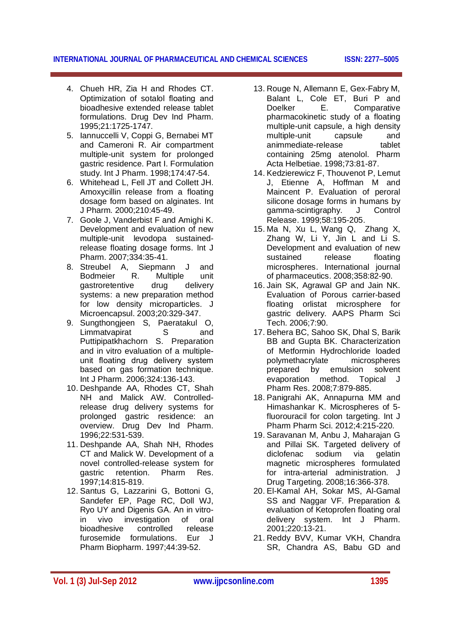**INTERNATIONAL JOURNAL OF PHARMACEUTICAL AND CHEMICAL SCIENCES ISSN: 22775005**

- 4. Chueh HR, Zia H and Rhodes CT. Optimization of sotalol floating and bioadhesive extended release tablet formulations. Drug Dev Ind Pharm. 1995;21:1725-1747.
- 5. Iannuccelli V, Coppi G, Bernabei MT and Cameroni R. Air compartment multiple-unit system for prolonged gastric residence. Part I. Formulation study. Int J Pharm. 1998;174:47-54.
- 6. Whitehead L, Fell JT and Collett JH. Amoxycillin release from a floating dosage form based on alginates. Int J Pharm. 2000;210:45-49.
- 7. Goole J, Vanderbist F and Amighi K. Development and evaluation of new multiple-unit levodopa sustainedrelease floating dosage forms. Int J Pharm. 2007;334:35-41.
- 8. Streubel A, Siepmann J and Bodmeier R. Multiple unit gastroretentive drug delivery systems: a new preparation method for low density microparticles. J Microencapsul. 2003;20:329-347.
- 9. Sungthongjeen S, Paeratakul O, Limmatvapirat S and Puttipipatkhachorn S. Preparation and in vitro evaluation of a multipleunit floating drug delivery system based on gas formation technique. Int J Pharm. 2006;324:136-143.
- 10. Deshpande AA, Rhodes CT, Shah NH and Malick AW. Controlledrelease drug delivery systems for prolonged gastric residence: an overview. Drug Dev Ind Pharm. 1996;22:531-539.
- 11. Deshpande AA, Shah NH, Rhodes CT and Malick W. Development of a novel controlled-release system for gastric retention. Pharm Res. 1997;14:815-819.
- 12. Santus G, Lazzarini G, Bottoni G, Sandefer EP, Page RC, Doll WJ, Ryo UY and Digenis GA. An in vitroin vivo investigation of oral bioadhesive controlled release furosemide formulations. Eur J Pharm Biopharm. 1997;44:39-52.
- 13. Rouge N, Allemann E, Gex-Fabry M, Balant L. Cole ET. Buri P and Doelker E. Comparative pharmacokinetic study of a floating multiple-unit capsule, a high density multiple-unit capsule and animmediate-release tablet containing 25mg atenolol. Pharm Acta Helbetiae. 1998;73:81-87.
- 14. Kedzierewicz F, Thouvenot P, Lemut J, Etienne A, Hoffman M and Maincent P. Evaluation of peroral silicone dosage forms in humans by gamma-scintigraphy. J Control Release. 1999;58:195-205.
- 15. Ma N, Xu L, Wang Q, Zhang X, Zhang W, Li Y, Jin L and Li S. Development and evaluation of new sustained release floating microspheres. International journal of pharmaceutics. 2008;358:82-90.
- 16. Jain SK, Agrawal GP and Jain NK. Evaluation of Porous carrier-based floating orlistat microsphere for gastric delivery. AAPS Pharm Sci Tech. 2006;7:90.
- 17. Behera BC, Sahoo SK, Dhal S, Barik BB and Gupta BK. Characterization of Metformin Hydrochloride loaded polymethacrylate microspheres prepared by emulsion solvent evaporation method. Topical J Pharm Res. 2008;7:879-885.
- 18. Panigrahi AK, Annapurna MM and Himashankar K. Microspheres of 5 fluorouracil for colon targeting. Int J Pharm Pharm Sci. 2012;4:215-220.
- 19. Saravanan M, Anbu J, Maharajan G and Pillai SK. Targeted delivery of diclofenac sodium via gelatin magnetic microspheres formulated for intra-arterial administration. J Drug Targeting. 2008;16:366-378.
- 20. El-Kamal AH, Sokar MS, Al-Gamal SS and Naggar VF. Preparation & evaluation of Ketoprofen floating oral delivery system. Int J Pharm. 2001;220:13-21.
- 21. Reddy BVV, Kumar VKH, Chandra SR, Chandra AS, Babu GD and